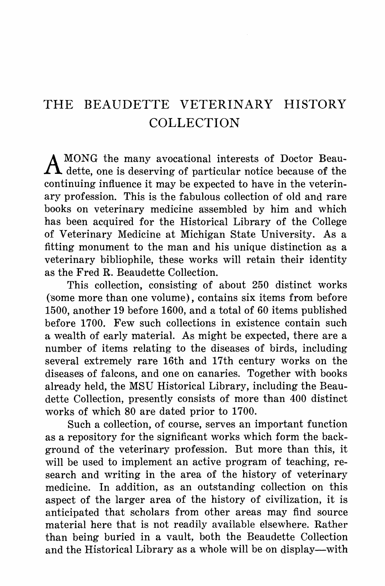## THE BEAUDETTE VETERINARY HISTORY COLLECTION

A MONG the many avocational interests of Doctor Beau-<br>dette, one is deserving of particular notice because of the continuing influence it may be expected to have in the veterinary profession. This is the fabulous collection of old and rare books on veterinary medicine assembled by him and which has been acquired for the Historical Library of the College of Veterinary Medicine at Michigan State University. As a fitting monument to the man and his unique distinction as a veterinary bibliophile, these works will retain their identity as the Fred R. Beaudette Collection.

This collection, consisting of about 250 distinct works (some more than one volume), contains six items from before 1500, another 19 before 1600, and a total of 60 items published before 1700. Few such collections in existence contain such a wealth of early material. As might be expected, there are a number of items relating to the diseases of birds, including several extremely rare 16th and 17th century works on the diseases of falcons, and one on canaries. Together with books already held, the MSU Historical Library, including the Beaudette Collection, presently consists of more than 400 distinct works of which 80 are dated prior to 1700.

Such a collection, of course, serves an important function as a repository for the significant works which form the background of the veterinary profession. But more than this, it will be used to implement an active program of teaching, research and writing in the area of the history of veterinary medicine. In addition, as an outstanding collection on this aspect of the larger area of the history of civilization, it is anticipated that scholars from other areas may find source material here that is not readily available elsewhere. Rathey than being buried in a vault, both the Beaudette Collection and the Historical Library as a whole will be on display-with